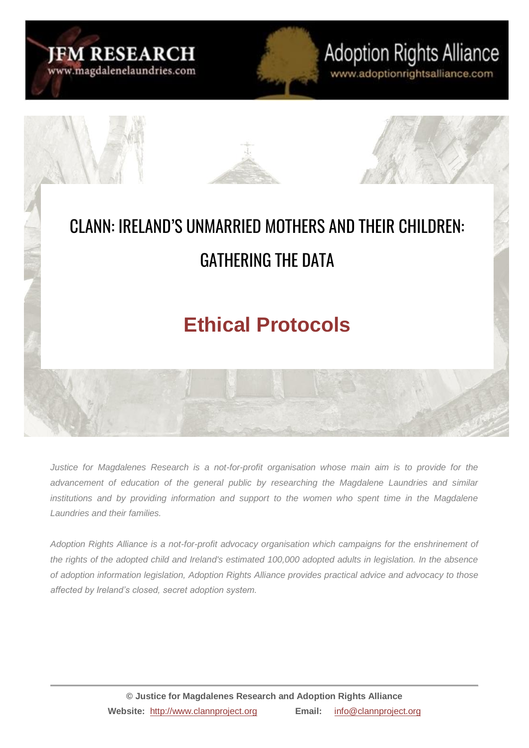

# **Adoption Rights Alliance**

www.adoptionrightsalliance.com



*Justice for Magdalenes Research is a not-for-profit organisation whose main aim is to provide for the advancement of education of the general public by researching the Magdalene Laundries and similar*  institutions and by providing information and support to the women who spent time in the Magdalene *Laundries and their families.*

*Adoption Rights Alliance is a not-for-profit advocacy organisation which campaigns for the enshrinement of the rights of the adopted child and Ireland's estimated 100,000 adopted adults in legislation. In the absence of adoption information legislation, Adoption Rights Alliance provides practical advice and advocacy to those affected by Ireland's closed, secret adoption system.*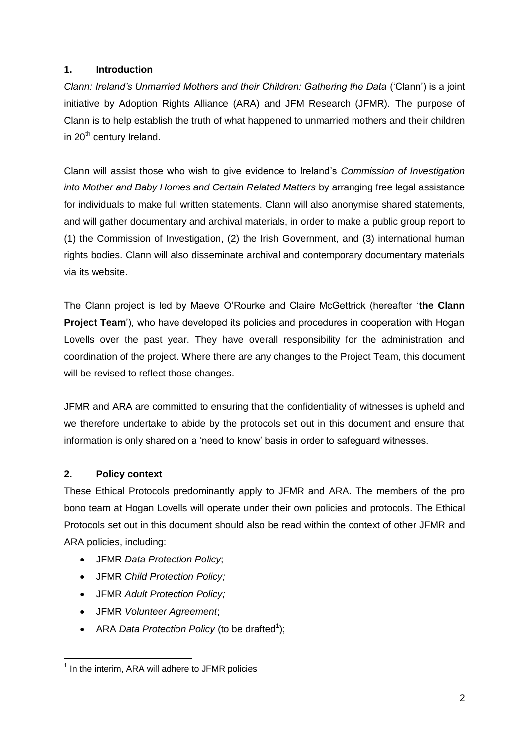# **1. Introduction**

*Clann: Ireland's Unmarried Mothers and their Children: Gathering the Data* ('Clann') is a joint initiative by Adoption Rights Alliance (ARA) and JFM Research (JFMR). The purpose of Clann is to help establish the truth of what happened to unmarried mothers and their children in 20<sup>th</sup> century Ireland.

Clann will assist those who wish to give evidence to Ireland's *Commission of Investigation into Mother and Baby Homes and Certain Related Matters* by arranging free legal assistance for individuals to make full written statements. Clann will also anonymise shared statements, and will gather documentary and archival materials, in order to make a public group report to (1) the Commission of Investigation, (2) the Irish Government, and (3) international human rights bodies. Clann will also disseminate archival and contemporary documentary materials via its website.

The Clann project is led by Maeve O'Rourke and Claire McGettrick (hereafter '**the Clann Project Team**'), who have developed its policies and procedures in cooperation with Hogan Lovells over the past year. They have overall responsibility for the administration and coordination of the project. Where there are any changes to the Project Team, this document will be revised to reflect those changes.

JFMR and ARA are committed to ensuring that the confidentiality of witnesses is upheld and we therefore undertake to abide by the protocols set out in this document and ensure that information is only shared on a 'need to know' basis in order to safeguard witnesses.

# **2. Policy context**

These Ethical Protocols predominantly apply to JFMR and ARA. The members of the pro bono team at Hogan Lovells will operate under their own policies and protocols. The Ethical Protocols set out in this document should also be read within the context of other JFMR and ARA policies, including:

- JFMR *Data Protection Policy*;
- JFMR *Child Protection Policy;*
- JFMR *Adult Protection Policy;*
- JFMR *Volunteer Agreement*;
- ARA *Data Protection Policy* (to be drafted<sup>1</sup>);

 $\overline{a}$  $<sup>1</sup>$  In the interim, ARA will adhere to JFMR policies</sup>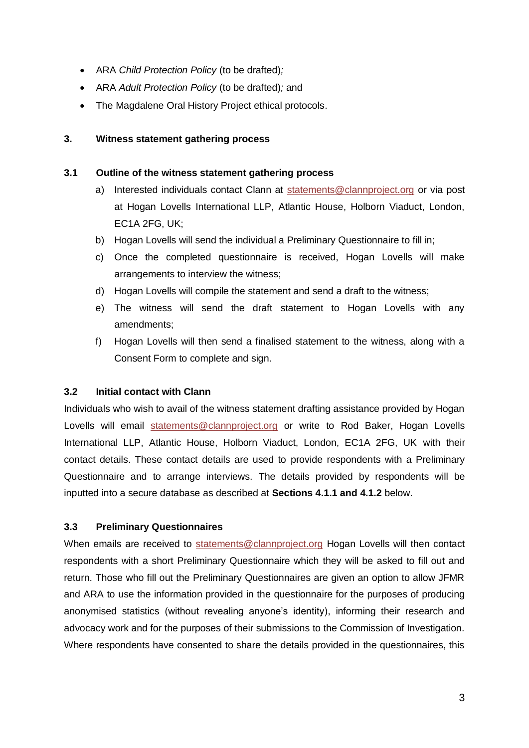- ARA *Child Protection Policy* (to be drafted)*;*
- ARA *Adult Protection Policy* (to be drafted)*;* and
- The Magdalene Oral History Project ethical protocols.

# **3. Witness statement gathering process**

## **3.1 Outline of the witness statement gathering process**

- a) Interested individuals contact Clann at [statements@clannproject.org](mailto:statements@clannproject.org) or via post at Hogan Lovells International LLP, Atlantic House, Holborn Viaduct, London, EC1A 2FG, UK;
- b) Hogan Lovells will send the individual a Preliminary Questionnaire to fill in;
- c) Once the completed questionnaire is received, Hogan Lovells will make arrangements to interview the witness;
- d) Hogan Lovells will compile the statement and send a draft to the witness;
- e) The witness will send the draft statement to Hogan Lovells with any amendments;
- f) Hogan Lovells will then send a finalised statement to the witness, along with a Consent Form to complete and sign.

# **3.2 Initial contact with Clann**

Individuals who wish to avail of the witness statement drafting assistance provided by Hogan Lovells will email [statements@clannproject.org](mailto:statements@clannproject.org) or write to Rod Baker, Hogan Lovells International LLP, Atlantic House, Holborn Viaduct, London, EC1A 2FG, UK with their contact details. These contact details are used to provide respondents with a Preliminary Questionnaire and to arrange interviews. The details provided by respondents will be inputted into a secure database as described at **Sections 4.1.1 and 4.1.2** below.

# **3.3 Preliminary Questionnaires**

When emails are received to [statements@clannproject.org](mailto:statements@clannproject.org) Hogan Lovells will then contact respondents with a short Preliminary Questionnaire which they will be asked to fill out and return. Those who fill out the Preliminary Questionnaires are given an option to allow JFMR and ARA to use the information provided in the questionnaire for the purposes of producing anonymised statistics (without revealing anyone's identity), informing their research and advocacy work and for the purposes of their submissions to the Commission of Investigation. Where respondents have consented to share the details provided in the questionnaires, this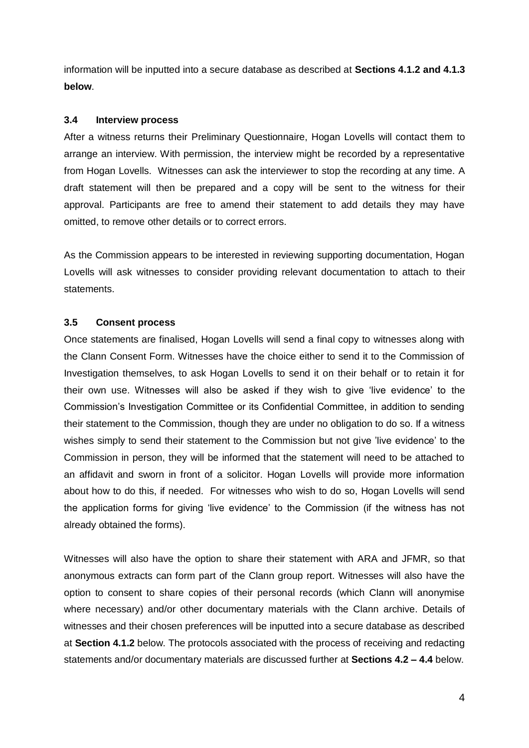information will be inputted into a secure database as described at **Sections 4.1.2 and 4.1.3 below**.

#### **3.4 Interview process**

After a witness returns their Preliminary Questionnaire, Hogan Lovells will contact them to arrange an interview. With permission, the interview might be recorded by a representative from Hogan Lovells. Witnesses can ask the interviewer to stop the recording at any time. A draft statement will then be prepared and a copy will be sent to the witness for their approval. Participants are free to amend their statement to add details they may have omitted, to remove other details or to correct errors.

As the Commission appears to be interested in reviewing supporting documentation, Hogan Lovells will ask witnesses to consider providing relevant documentation to attach to their statements.

#### **3.5 Consent process**

Once statements are finalised, Hogan Lovells will send a final copy to witnesses along with the Clann Consent Form. Witnesses have the choice either to send it to the Commission of Investigation themselves, to ask Hogan Lovells to send it on their behalf or to retain it for their own use. Witnesses will also be asked if they wish to give 'live evidence' to the Commission's Investigation Committee or its Confidential Committee, in addition to sending their statement to the Commission, though they are under no obligation to do so. If a witness wishes simply to send their statement to the Commission but not give 'live evidence' to the Commission in person, they will be informed that the statement will need to be attached to an affidavit and sworn in front of a solicitor. Hogan Lovells will provide more information about how to do this, if needed. For witnesses who wish to do so, Hogan Lovells will send the application forms for giving 'live evidence' to the Commission (if the witness has not already obtained the forms).

Witnesses will also have the option to share their statement with ARA and JFMR, so that anonymous extracts can form part of the Clann group report. Witnesses will also have the option to consent to share copies of their personal records (which Clann will anonymise where necessary) and/or other documentary materials with the Clann archive. Details of witnesses and their chosen preferences will be inputted into a secure database as described at **Section 4.1.2** below. The protocols associated with the process of receiving and redacting statements and/or documentary materials are discussed further at **Sections 4.2 – 4.4** below.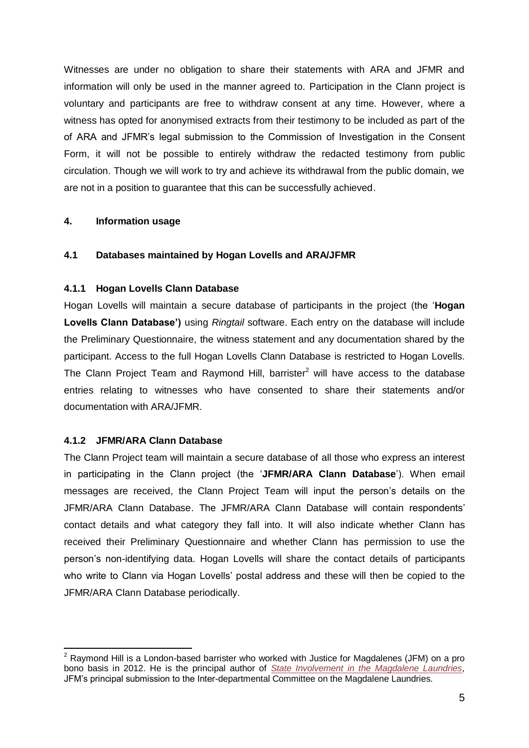Witnesses are under no obligation to share their statements with ARA and JFMR and information will only be used in the manner agreed to. Participation in the Clann project is voluntary and participants are free to withdraw consent at any time. However, where a witness has opted for anonymised extracts from their testimony to be included as part of the of ARA and JFMR's legal submission to the Commission of Investigation in the Consent Form, it will not be possible to entirely withdraw the redacted testimony from public circulation. Though we will work to try and achieve its withdrawal from the public domain, we are not in a position to guarantee that this can be successfully achieved.

#### **4. Information usage**

#### **4.1 Databases maintained by Hogan Lovells and ARA/JFMR**

#### **4.1.1 Hogan Lovells Clann Database**

Hogan Lovells will maintain a secure database of participants in the project (the '**Hogan Lovells Clann Database')** using *Ringtail* software. Each entry on the database will include the Preliminary Questionnaire, the witness statement and any documentation shared by the participant. Access to the full Hogan Lovells Clann Database is restricted to Hogan Lovells. The Clann Project Team and Raymond Hill, barrister<sup>2</sup> will have access to the database entries relating to witnesses who have consented to share their statements and/or documentation with ARA/JFMR.

#### **4.1.2 JFMR/ARA Clann Database**

The Clann Project team will maintain a secure database of all those who express an interest in participating in the Clann project (the '**JFMR/ARA Clann Database**'). When email messages are received, the Clann Project Team will input the person's details on the JFMR/ARA Clann Database. The JFMR/ARA Clann Database will contain respondents' contact details and what category they fall into. It will also indicate whether Clann has received their Preliminary Questionnaire and whether Clann has permission to use the person's non-identifying data. Hogan Lovells will share the contact details of participants who write to Clann via Hogan Lovells' postal address and these will then be copied to the JFMR/ARA Clann Database periodically.

 $\overline{\phantom{a}}$  $2$  Raymond Hill is a London-based barrister who worked with Justice for Magdalenes (JFM) on a pro bono basis in 2012. He is the principal author of *[State Involvement in the Magdalene Laundries](http://www.magdalenelaundries.com/State_Involvement_in_the_Magdalene_Laundries_public.pdf)*, JFM's principal submission to the Inter-departmental Committee on the Magdalene Laundries.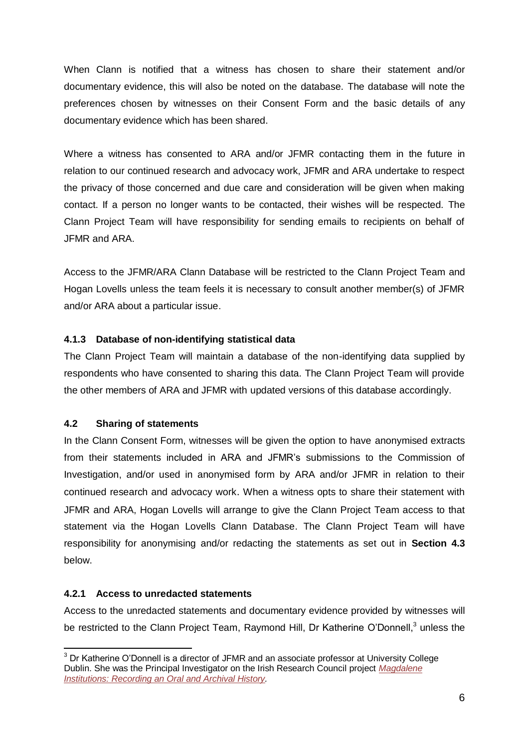When Clann is notified that a witness has chosen to share their statement and/or documentary evidence, this will also be noted on the database. The database will note the preferences chosen by witnesses on their Consent Form and the basic details of any documentary evidence which has been shared.

Where a witness has consented to ARA and/or JFMR contacting them in the future in relation to our continued research and advocacy work, JFMR and ARA undertake to respect the privacy of those concerned and due care and consideration will be given when making contact. If a person no longer wants to be contacted, their wishes will be respected. The Clann Project Team will have responsibility for sending emails to recipients on behalf of JFMR and ARA.

Access to the JFMR/ARA Clann Database will be restricted to the Clann Project Team and Hogan Lovells unless the team feels it is necessary to consult another member(s) of JFMR and/or ARA about a particular issue.

# **4.1.3 Database of non-identifying statistical data**

The Clann Project Team will maintain a database of the non-identifying data supplied by respondents who have consented to sharing this data. The Clann Project Team will provide the other members of ARA and JFMR with updated versions of this database accordingly.

## **4.2 Sharing of statements**

In the Clann Consent Form, witnesses will be given the option to have anonymised extracts from their statements included in ARA and JFMR's submissions to the Commission of Investigation, and/or used in anonymised form by ARA and/or JFMR in relation to their continued research and advocacy work. When a witness opts to share their statement with JFMR and ARA, Hogan Lovells will arrange to give the Clann Project Team access to that statement via the Hogan Lovells Clann Database. The Clann Project Team will have responsibility for anonymising and/or redacting the statements as set out in **Section 4.3** below.

# **4.2.1 Access to unredacted statements**

Access to the unredacted statements and documentary evidence provided by witnesses will be restricted to the Clann Project Team, Raymond Hill, Dr Katherine O'Donnell,<sup>3</sup> unless the

 $\overline{\phantom{a}}$  $3$  Dr Katherine O'Donnell is a director of JFMR and an associate professor at University College Dublin. She was the Principal Investigator on the Irish Research Council project *[Magdalene](http://magdaleneoralhistory.com/)  [Institutions: Recording an Oral and Archival History.](http://magdaleneoralhistory.com/)*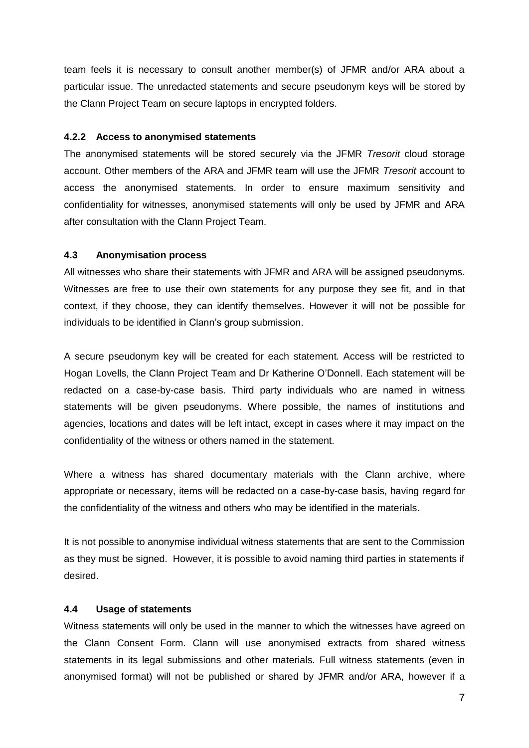team feels it is necessary to consult another member(s) of JFMR and/or ARA about a particular issue. The unredacted statements and secure pseudonym keys will be stored by the Clann Project Team on secure laptops in encrypted folders.

#### **4.2.2 Access to anonymised statements**

The anonymised statements will be stored securely via the JFMR *Tresorit* cloud storage account. Other members of the ARA and JFMR team will use the JFMR *Tresorit* account to access the anonymised statements. In order to ensure maximum sensitivity and confidentiality for witnesses, anonymised statements will only be used by JFMR and ARA after consultation with the Clann Project Team.

#### **4.3 Anonymisation process**

All witnesses who share their statements with JFMR and ARA will be assigned pseudonyms. Witnesses are free to use their own statements for any purpose they see fit, and in that context, if they choose, they can identify themselves. However it will not be possible for individuals to be identified in Clann's group submission.

A secure pseudonym key will be created for each statement. Access will be restricted to Hogan Lovells, the Clann Project Team and Dr Katherine O'Donnell. Each statement will be redacted on a case-by-case basis. Third party individuals who are named in witness statements will be given pseudonyms. Where possible, the names of institutions and agencies, locations and dates will be left intact, except in cases where it may impact on the confidentiality of the witness or others named in the statement.

Where a witness has shared documentary materials with the Clann archive, where appropriate or necessary, items will be redacted on a case-by-case basis, having regard for the confidentiality of the witness and others who may be identified in the materials.

It is not possible to anonymise individual witness statements that are sent to the Commission as they must be signed. However, it is possible to avoid naming third parties in statements if desired.

#### **4.4 Usage of statements**

Witness statements will only be used in the manner to which the witnesses have agreed on the Clann Consent Form. Clann will use anonymised extracts from shared witness statements in its legal submissions and other materials. Full witness statements (even in anonymised format) will not be published or shared by JFMR and/or ARA, however if a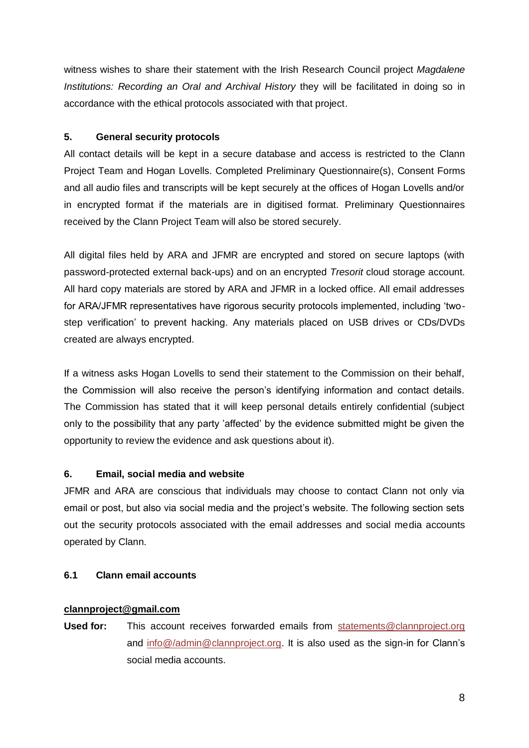witness wishes to share their statement with the Irish Research Council project *Magdalene Institutions: Recording an Oral and Archival History* they will be facilitated in doing so in accordance with the ethical protocols associated with that project.

## **5. General security protocols**

All contact details will be kept in a secure database and access is restricted to the Clann Project Team and Hogan Lovells. Completed Preliminary Questionnaire(s), Consent Forms and all audio files and transcripts will be kept securely at the offices of Hogan Lovells and/or in encrypted format if the materials are in digitised format. Preliminary Questionnaires received by the Clann Project Team will also be stored securely.

All digital files held by ARA and JFMR are encrypted and stored on secure laptops (with password-protected external back-ups) and on an encrypted *Tresorit* cloud storage account. All hard copy materials are stored by ARA and JFMR in a locked office. All email addresses for ARA/JFMR representatives have rigorous security protocols implemented, including 'twostep verification' to prevent hacking. Any materials placed on USB drives or CDs/DVDs created are always encrypted.

If a witness asks Hogan Lovells to send their statement to the Commission on their behalf, the Commission will also receive the person's identifying information and contact details. The Commission has stated that it will keep personal details entirely confidential (subject only to the possibility that any party 'affected' by the evidence submitted might be given the opportunity to review the evidence and ask questions about it).

# **6. Email, social media and website**

JFMR and ARA are conscious that individuals may choose to contact Clann not only via email or post, but also via social media and the project's website. The following section sets out the security protocols associated with the email addresses and social media accounts operated by Clann.

# **6.1 Clann email accounts**

## **[clannproject@gmail.com](mailto:clannproject@gmail.com)**

**Used for:** This account receives forwarded emails from [statements@clannproject.org](mailto:statements@clannproject.org) and [info@/admin@clannproject.org.](mailto:info@/admin@clannproject.org) It is also used as the sign-in for Clann's social media accounts.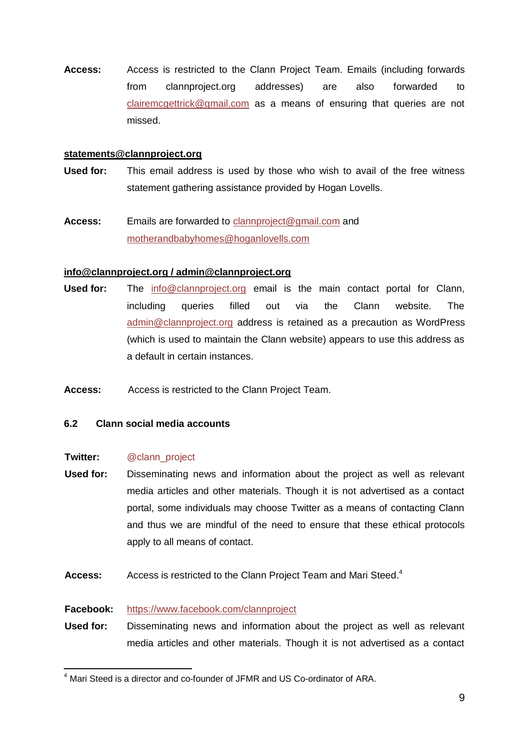**Access:** Access is restricted to the Clann Project Team. Emails (including forwards from clannproject.org addresses) are also forwarded to [clairemcgettrick@gmail.com](mailto:clairemcgettrick@gmail.com) as a means of ensuring that queries are not missed.

#### **[statements@clannproject.org](mailto:statements@clannproject.org)**

- **Used for:** This email address is used by those who wish to avail of the free witness statement gathering assistance provided by Hogan Lovells.
- **Access:** Emails are forwarded to [clannproject@gmail.com](mailto:clannproject@gmail.com) and [motherandbabyhomes@hoganlovells.com](mailto:motherandbabyhomes@hoganlovells.com)

## **[info@clannproject.org](mailto:info@clannproject.org) / [admin@clannproject.org](mailto:admin@clannproject.org)**

- **Used for:** The [info@clannproject.org](mailto:info@clannproject.org) email is the main contact portal for Clann, including queries filled out via the Clann website. The [admin@clannproject.org](mailto:admin@clannproject.org) address is retained as a precaution as WordPress (which is used to maintain the Clann website) appears to use this address as a default in certain instances.
- **Access:** Access is restricted to the Clann Project Team.

## **6.2 Clann social media accounts**

#### **Twitter:** @clann\_project

- **Used for:** Disseminating news and information about the project as well as relevant media articles and other materials. Though it is not advertised as a contact portal, some individuals may choose Twitter as a means of contacting Clann and thus we are mindful of the need to ensure that these ethical protocols apply to all means of contact.
- Access: Access is restricted to the Clann Project Team and Mari Steed.<sup>4</sup>

## **Facebook:** <https://www.facebook.com/clannproject>

**Used for:** Disseminating news and information about the project as well as relevant media articles and other materials. Though it is not advertised as a contact

 $\overline{a}$  $4$  Mari Steed is a director and co-founder of JFMR and US Co-ordinator of ARA.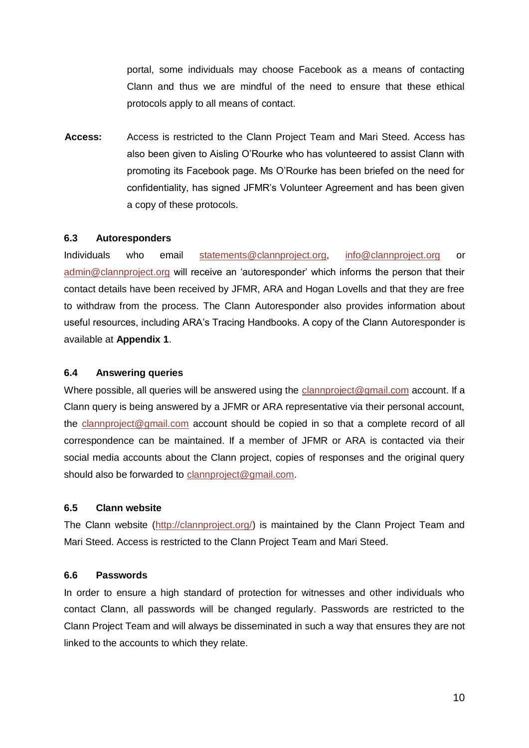portal, some individuals may choose Facebook as a means of contacting Clann and thus we are mindful of the need to ensure that these ethical protocols apply to all means of contact.

**Access:** Access is restricted to the Clann Project Team and Mari Steed. Access has also been given to Aisling O'Rourke who has volunteered to assist Clann with promoting its Facebook page. Ms O'Rourke has been briefed on the need for confidentiality, has signed JFMR's Volunteer Agreement and has been given a copy of these protocols.

## **6.3 Autoresponders**

Individuals who email [statements@clannproject.org,](mailto:statements@clannproject.org) [info@clannproject.org](mailto:info@clannproject.org) or [admin@clannproject.org](mailto:admin@clannproject.org) will receive an 'autoresponder' which informs the person that their contact details have been received by JFMR, ARA and Hogan Lovells and that they are free to withdraw from the process. The Clann Autoresponder also provides information about useful resources, including ARA's Tracing Handbooks. A copy of the Clann Autoresponder is available at **Appendix 1**.

#### **6.4 Answering queries**

Where possible, all queries will be answered using the [clannproject@gmail.com](mailto:clannproject@gmail.com) account. If a Clann query is being answered by a JFMR or ARA representative via their personal account, the [clannproject@gmail.com](mailto:clannproject@gmail.com) account should be copied in so that a complete record of all correspondence can be maintained. If a member of JFMR or ARA is contacted via their social media accounts about the Clann project, copies of responses and the original query should also be forwarded to [clannproject@gmail.com.](mailto:clannproject@gmail.com)

#### **6.5 Clann website**

The Clann website [\(http://clannproject.org/\)](http://clannproject.org/) is maintained by the Clann Project Team and Mari Steed. Access is restricted to the Clann Project Team and Mari Steed.

#### **6.6 Passwords**

In order to ensure a high standard of protection for witnesses and other individuals who contact Clann, all passwords will be changed regularly. Passwords are restricted to the Clann Project Team and will always be disseminated in such a way that ensures they are not linked to the accounts to which they relate.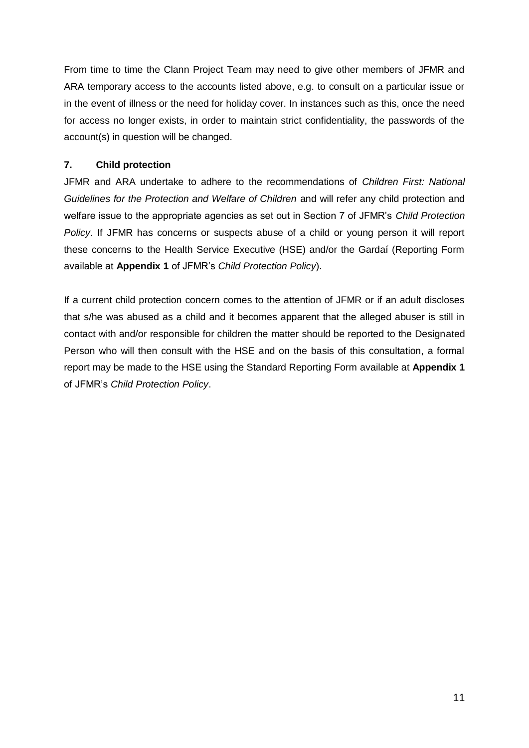From time to time the Clann Project Team may need to give other members of JFMR and ARA temporary access to the accounts listed above, e.g. to consult on a particular issue or in the event of illness or the need for holiday cover. In instances such as this, once the need for access no longer exists, in order to maintain strict confidentiality, the passwords of the account(s) in question will be changed.

## **7. Child protection**

JFMR and ARA undertake to adhere to the recommendations of *Children First: National Guidelines for the Protection and Welfare of Children* and will refer any child protection and welfare issue to the appropriate agencies as set out in Section 7 of JFMR's *Child Protection Policy*. If JFMR has concerns or suspects abuse of a child or young person it will report these concerns to the Health Service Executive (HSE) and/or the Gardaí (Reporting Form available at **Appendix 1** of JFMR's *Child Protection Policy*).

If a current child protection concern comes to the attention of JFMR or if an adult discloses that s/he was abused as a child and it becomes apparent that the alleged abuser is still in contact with and/or responsible for children the matter should be reported to the Designated Person who will then consult with the HSE and on the basis of this consultation, a formal report may be made to the HSE using the Standard Reporting Form available at **Appendix 1**  of JFMR's *Child Protection Policy*.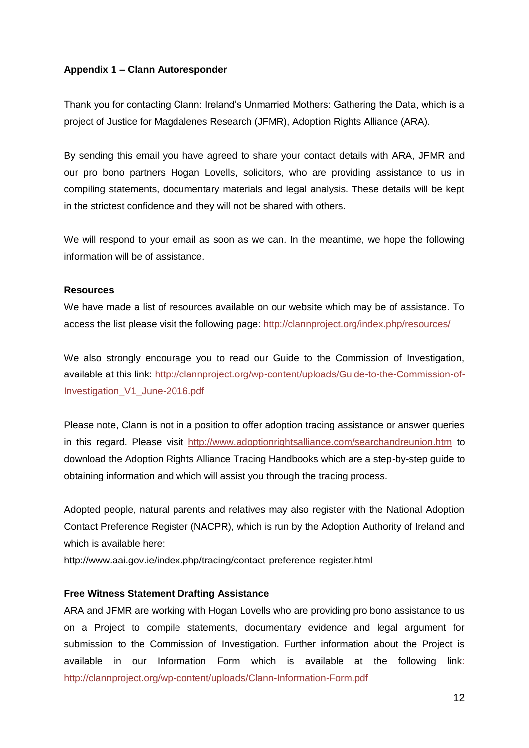Thank you for contacting Clann: Ireland's Unmarried Mothers: Gathering the Data, which is a project of Justice for Magdalenes Research (JFMR), Adoption Rights Alliance (ARA).

By sending this email you have agreed to share your contact details with ARA, JFMR and our pro bono partners Hogan Lovells, solicitors, who are providing assistance to us in compiling statements, documentary materials and legal analysis. These details will be kept in the strictest confidence and they will not be shared with others.

We will respond to your email as soon as we can. In the meantime, we hope the following information will be of assistance.

## **Resources**

We have made a list of resources available on our website which may be of assistance. To access the list please visit the following page:<http://clannproject.org/index.php/resources/>

We also strongly encourage you to read our Guide to the Commission of Investigation, available at this link: [http://clannproject.org/wp-content/uploads/Guide-to-the-Commission-of-](http://clannproject.org/wp-content/uploads/Guide-to-the-Commission-of-Investigation_V1_June-2016.pdf)[Investigation\\_V1\\_June-2016.pdf](http://clannproject.org/wp-content/uploads/Guide-to-the-Commission-of-Investigation_V1_June-2016.pdf)

Please note, Clann is not in a position to offer adoption tracing assistance or answer queries in this regard. Please visit<http://www.adoptionrightsalliance.com/searchandreunion.htm> to download the Adoption Rights Alliance Tracing Handbooks which are a step-by-step guide to obtaining information and which will assist you through the tracing process.

Adopted people, natural parents and relatives may also register with the National Adoption Contact Preference Register (NACPR), which is run by the Adoption Authority of Ireland and which is available here:

http://www.aai.gov.ie/index.php/tracing/contact-preference-register.html

## **Free Witness Statement Drafting Assistance**

ARA and JFMR are working with Hogan Lovells who are providing pro bono assistance to us on a Project to compile statements, documentary evidence and legal argument for submission to the Commission of Investigation. Further information about the Project is available in our Information Form which is available at the following link: <http://clannproject.org/wp-content/uploads/Clann-Information-Form.pdf>